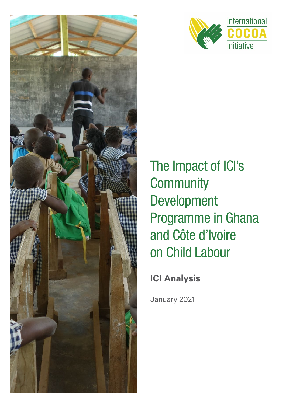



The Impact of ICI's **Community** Development Programme in Ghana and Côte d'Ivoire on Child Labour

**ICI Analysis**

January 2021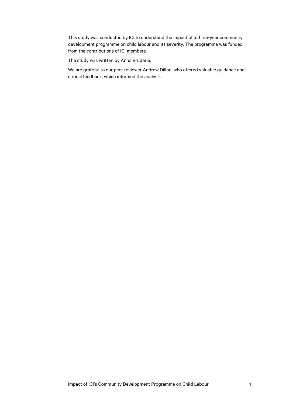This study was conducted by ICI to understand the impact of a three-year community development programme on child labour and its severity. The programme was funded from the contributions of ICI members.

The study was written by Anna Brüderle.

We are grateful to our peer reviewer Andrew Dillon, who offered valuable guidance and critical feedback, which informed the analysis.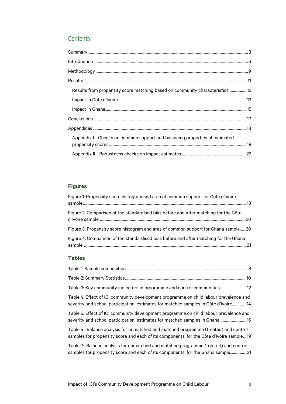# **Contents**

| Results from propensity score matching based on community characteristics 12 |  |
|------------------------------------------------------------------------------|--|
|                                                                              |  |
|                                                                              |  |
|                                                                              |  |
|                                                                              |  |
| Appendix I - Checks on common support and balancing properties of estimated  |  |
|                                                                              |  |

## **Figures**

| Figure 1: Propensity score histogram and area of common support for Côte d'Ivoire     |  |
|---------------------------------------------------------------------------------------|--|
| Figure 2: Comparison of the standardised bias before and after matching for the Côte  |  |
| Figure 3: Propensity score histogram and area of common support for Ghana sample20    |  |
| Figure 4: Comparison of the standardised bias before and after matching for the Ghana |  |

### **Tables**

| Table 4: Effect of ICI community development programme on child labour prevalence and<br>severity and school participation; estimates for matched samples in Côte d'Ivoire4    |
|--------------------------------------------------------------------------------------------------------------------------------------------------------------------------------|
| Table 5: Effect of ICI community development programme on child labour prevalence and                                                                                          |
| Table 4: Balance analysis for unmatched and matched programme (treated) and control<br>samples for propensity score and each of its components, for the Côte d'Ivoire sample19 |
| Table 7: Balance analysis for unmatched and matched programme (treated) and control<br>samples for propensity score and each of its components, for the Ghana sample21         |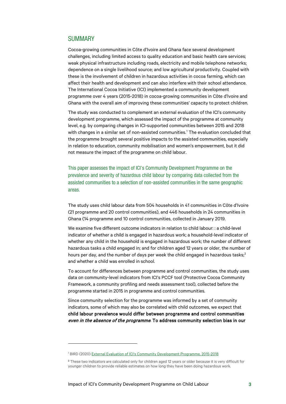### <span id="page-3-0"></span>**SUMMARY**

Cocoa-growing communities in Côte d'Ivoire and Ghana face several development challenges, including limited access to quality education and basic health care services; weak physical infrastructure including roads, electricity and mobile telephone networks; dependence on a single livelihood source; and low agricultural productivity. Coupled with these is the involvement of children in hazardous activities in cocoa farming, which can affect their health and development and can also interfere with their school attendance. The International Cocoa Initiative (ICI) implemented a community development programme over 4 years (2015-2018) in cocoa-growing communities in Côte d'Ivoire and Ghana with the overall aim of improving these communities' capacity to protect children.

The study was conducted to complement an external evaluation of the ICI's community development programme, which assessed the impact of the programme at community level, e.g. by comparing changes in ICI-supported communities between 2015 and 2018 with changes in a similar set of non-assisted communities.<sup>[1](#page-3-1)</sup> The evaluation concluded that the programme brought several positive impacts to the assisted communities, especially in relation to education, community mobilisation and women's empowerment, but it did not measure the impact of the programme on child labour.

This paper assesses the impact of ICI's Community Development Programme on the prevalence and severity of hazardous child labour by comparing data collected from the assisted communities to a selection of non-assisted communities in the same geographic areas.

The study uses child labour data from 504 households in 41 communities in Côte d'Ivoire (21 programme and 20 control communities), and 446 households in 24 communities in Ghana (14 programme and 10 control communities, collected in January 2019.

We examine five different outcome indicators in relation to child labour: : a child-level indicator of whether a child is engaged in hazardous work; a household-level indicator of whether any child in the household is engaged in hazardous work; the number of different hazardous tasks a child engaged in; and for children aged 12 years or older, the number of hours per day, and the number of days per week the child engaged in hazardous tasks; $<sup>2</sup>$  $<sup>2</sup>$  $<sup>2</sup>$ </sup> and whether a child was enrolled in school.

To account for differences between programme and control communities, the study uses data on community-level indicators from ICI's PCCF tool (Protective Cocoa Community Framework, a community profiling and needs assessment tool), collected before the programme started in 2015 in programme and control communities.

Since community selection for the programme was informed by a set of community indicators, some of which may also be correlated with child outcomes, we expect that child labour prevalence would differ between programme and control communities even in the absence of the programme. To address community selection bias in our

<span id="page-3-1"></span><sup>1</sup> BIRD (2020) [External Evaluation of ICI's Community Development Programme, 2015-2018](https://cocoainitiative.org/wp-content/uploads/2020/05/ICI_External-evaluation-of-community-development-programme_report_EN.pdf)

<span id="page-3-2"></span><sup>&</sup>lt;sup>2</sup> These two indicators are calculated only for children aged 12 years or older because it is very difficult for younger children to provide reliable estimates on how long they have been doing hazardous work.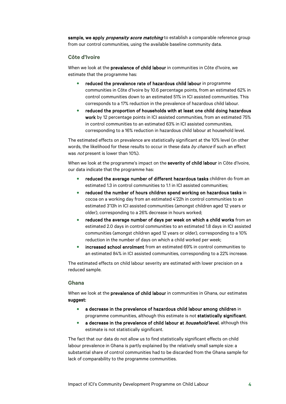sample, we apply *propensity score matching* to establish a comparable reference group from our control communities, using the available baseline community data.

#### **Côte d'Ivoire**

When we look at the prevalence of child labour in communities in Côte d'Ivoire, we estimate that the programme has:

- reduced the prevalence rate of hazardous child labour in programme communities in Côte d'Ivoire by 10.6 percentage points, from an estimated 62% in control communities down to an estimated 51% in ICI assisted communities. This corresponds to a 17% reduction in the prevalence of hazardous child labour.
- reduced the proportion of households with at least one child doing hazardous work by 12 percentage points in ICI assisted communities, from an estimated 75% in control communities to an estimated 63% in ICI assisted communities, corresponding to a 16% reduction in hazardous child labour at household level.

The estimated effects on prevalence are statistically significant at the 10% level (in other words, the likelihood for these results to occur in these data by chance if such an effect was *not* present is lower than 10%).

When we look at the programme's impact on the severity of child labour in Côte d'Ivoire, our data indicate that the programme has:

- reduced the average number of different hazardous tasks children do from an estimated 1.3 in control communities to 1.1 in ICI assisted communities;
- reduced the number of hours children spend working on hazardous tasks in cocoa on a working day from an estimated 4'22h in control communities to an estimated 3'13h in ICI assisted communities (amongst children aged 12 years or older), corresponding to a 26% decrease in hours worked;
- reduced the average number of days per week on which a child works from an estimated 2.0 days in control communities to an estimated 1.8 days in ICI assisted communities (amongst children aged 12 years or older), corresponding to a 10% reduction in the number of days on which a child worked per week;
- increased school enrolment from an estimated 69% in control communities to an estimated 84% in ICI assisted communities, corresponding to a 22% increase.

The estimated effects on child labour severity are estimated with lower precision on a reduced sample.

### **Ghana**

When we look at the **prevalence of child labour** in communities in Ghana, our estimates suggest:

- a decrease in the prevalence of hazardous child labour among children in programme communities, although this estimate is not statistically significant.
- a decrease in the prevalence of child labour at *household* level, although this estimate is not statistically significant.

The fact that our data do not allow us to find statistically significant effects on child labour prevalence in Ghana is partly explained by the relatively small sample size: a substantial share of control communities had to be discarded from the Ghana sample for lack of comparability to the programme communities.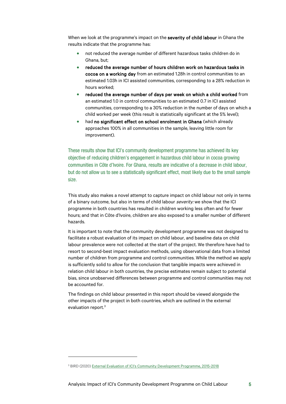When we look at the programme's impact on the severity of child labour in Ghana the results indicate that the programme has:

- not reduced the average number of different hazardous tasks children do in Ghana, but;
- reduced the average number of hours children work on hazardous tasks in cocoa on a working day from an estimated 1.28h in control communities to an estimated 1.03h in ICI assisted communities, corresponding to a 28% reduction in hours worked;
- reduced the average number of days per week on which a child worked from an estimated 1.0 in control communities to an estimated 0.7 in ICI assisted communities, corresponding to a 30% reduction in the number of days on which a child worked per week (this result is statistically significant at the 5% level);
- had no significant effect on school enrolment in Ghana (which already approaches 100% in all communities in the sample, leaving little room for improvement).

These results show that ICI's community development programme has achieved its key objective of reducing children's engagement in hazardous child labour in cocoa growing communities in Côte d'Ivoire. For Ghana, results are indicative of a decrease in child labour, but do not allow us to see a statistically significant effect, most likely due to the small sample size.

This study also makes a novel attempt to capture impact on child labour not only in terms of a binary outcome, but also in terms of child labour severity: we show that the ICI programme in both countries has resulted in children working less often and for fewer hours; and that in Côte d'Ivoire, children are also exposed to a smaller number of different hazards.

It is important to note that the community development programme was not designed to facilitate a robust evaluation of its impact on child labour, and baseline data on child labour prevalence were not collected at the start of the project. We therefore have had to resort to second-best impact evaluation methods, using observational data from a limited number of children from programme and control communities. While the method we apply is sufficiently solid to allow for the conclusion that tangible impacts were achieved in relation child labour in both countries, the precise estimates remain subject to potential bias, since unobserved differences between programme and control communities may not be accounted for.

The findings on child labour presented in this report should be viewed alongside the other impacts of the project in both countries, which are outlined in the external evaluation report.<sup>[3](#page-5-0)</sup>

<span id="page-5-0"></span><sup>3</sup> BIRD (2020) [External Evaluation of ICI's Community Development Programme, 2015-2018](https://cocoainitiative.org/wp-content/uploads/2020/05/ICI_External-evaluation-of-community-development-programme_report_EN.pdf)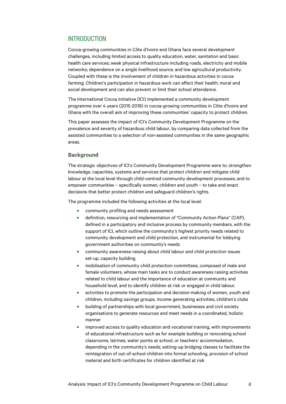## <span id="page-6-0"></span>INTRODUCTION

Cocoa-growing communities in Côte d'Ivoire and Ghana face several development challenges, including limited access to quality education, water, sanitation and basic health care services; weak physical infrastructure including roads, electricity and mobile networks; dependence on a single livelihood source; and low agricultural productivity. Coupled with these is the involvement of children in hazardous activities in cocoa farming. Children's participation in hazardous work can affect their health, moral and social development and can also prevent or limit their school attendance.

The International Cocoa Initiative (ICI) implemented a community development programme over 4 years (2015-2018) in cocoa-growing communities in Côte d'Ivoire and Ghana with the overall aim of improving these communities' capacity to protect children.

This paper assesses the impact of ICI's Community Development Programme on the prevalence and severity of hazardous child labour, by comparing data collected from the assisted communities to a selection of non-assisted communities in the same geographic areas.

#### **Background**

The strategic objectives of ICI's Community Development Programme were to: strengthen knowledge, capacities, systems and services that protect children and mitigate child labour at the local level through child-centred community development processes; and to empower communities – specifically women, children and youth – to take and enact decisions that better protect children and safeguard children's rights.

The programme included the following activities at the local level:

- community profiling and needs assessment
- definition, resourcing and implementation of "Community Action Plans" (CAP), defined in a participatory and inclusive process by community members, with the support of ICI, which outline the community's highest priority needs related to community development and child protection, and instrumental for lobbying government authorities on community's needs
- community awareness-raising about child labour and child protection issues set-up, capacity building
- mobilisation of community child protection committees, composed of male and female volunteers, whose main tasks are to conduct awareness raising activities related to child labour and the importance of education at community and household level, and to identify children at risk or engaged in child labour.
- activities to promote the participation and decision-making of women, youth and children, including savings groups, income generating activities, children's clubs
- building of partnerships with local government, businesses and civil society organisations to generate resources and meet needs in a coordinated, holistic manner
- improved access to quality education and vocational training, with improvements of educational infrastructure such as for example building or renovating school classrooms, latrines, water points at school, or teachers' accommodation, depending in the community's needs; setting-up bridging classes to facilitate the reintegration of out-of-school children into formal schooling, provision of school material and birth certificates for children identified at risk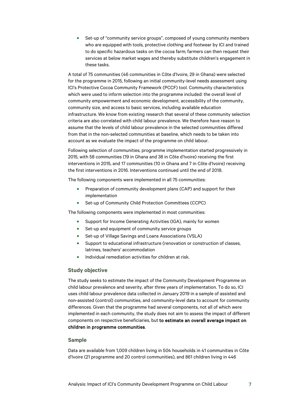• Set-up of "community service groups", composed of young community members who are equipped with tools, protective clothing and footwear by ICI and trained to do specific hazardous tasks on the cocoa farm; farmers can then request their services at below market wages and thereby substitute children's engagement in these tasks.

A total of 75 communities (46 communities in Côte d'Ivoire, 29 in Ghana) were selected for the programme in 2015, following an initial community-level needs assessment using ICI's Protective Cocoa Community Framework (PCCF) tool. Community characteristics which were used to inform selection into the programme included: the overall level of community empowerment and economic development, accessibility of the community, community size, and access to basic services, including available education infrastructure. We know from existing research that several of these community selection criteria are also correlated with child labour prevalence. We therefore have reason to assume that the levels of child labour prevalence in the selected communities differed from that in the non-selected communities at baseline, which needs to be taken into account as we evaluate the impact of the programme on child labour.

Following selection of communities, programme implementation started progressively in 2015, with 58 communities (19 in Ghana and 38 in Côte d'Ivoire) receiving the first interventions in 2015, and 17 communities (10 in Ghana and 7 in Côte d'Ivoire) receiving the first interventions in 2016. Interventions continued until the end of 2018.

The following components were implemented in all 75 communities:

- Preparation of community development plans (CAP) and support for their implementation
- Set-up of Community Child Protection Committees (CCPC)

The following components were implemented in most communities:

- Support for Income Generating Activities (IGA), mainly for women
- Set-up and equipment of community service groups
- Set-up of Village Savings and Loans Associations (VSLA)
- Support to educational infrastructure (renovation or construction of classes, latrines, teachers' accommodation
- Individual remediation activities for children at risk.

### **Study objective**

The study seeks to estimate the impact of the Community Development Programme on child labour prevalence and severity, after three years of implementation. To do so, ICI uses child labour prevalence data collected in January 2019 in a sample of assisted and non-assisted (control) communities, and community-level data to account for community differences. Given that the programme had several components, not all of which were implemented in each community, the study does not aim to assess the impact of different components on respective beneficiaries, but to estimate an overall average impact on children in programme communities.

#### **Sample**

Data are available from 1,009 children living in 504 households in 41 communities in Côte d'Ivoire (21 programme and 20 control communities), and 861 children living in 446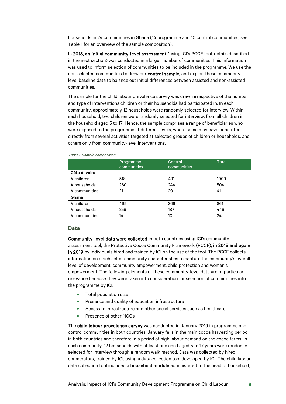households in 24 communities in Ghana (14 programme and 10 control communities; see [Table 1](#page-8-0) for an overview of the sample composition).

In 2015, an initial community-level assessment (using ICI's PCCF tool, details described in the next section) was conducted in a larger number of communities. This information was used to inform selection of communities to be included in the programme. We use the non-selected communities to draw our control sample, and exploit these communitylevel baseline data to balance out initial differences between assisted and non-assisted communities.

The sample for the child labour prevalence survey was drawn irrespective of the number and type of interventions children or their households had participated in. In each community, approximately 12 households were randomly selected for interview. Within each household, two children were randomly selected for interview, from all children in the household aged 5 to 17. Hence, the sample comprises a range of beneficiaries who were exposed to the programme at different levels, where some may have benefitted directly from several activities targeted at selected groups of children or households, and others only from community-level interventions.

|               | Programme<br>communities | Control<br>communities | Total |
|---------------|--------------------------|------------------------|-------|
| Côte d'Ivoire |                          |                        |       |
| # children    | 518                      | 491                    | 1009  |
| # households  | 260                      | 244                    | 504   |
| # communities | 21                       | 20                     | 41    |
| Ghana         |                          |                        |       |
| # children    | 495                      | 366                    | 861   |
| # households  | 259                      | 187                    | 446   |
| # communities | 14                       | 10                     | 24    |

#### <span id="page-8-0"></span>Table 1: Sample composition

#### **Data**

Community-level data were collected in both countries using ICI's community assessment tool, the Protective Cocoa Community Framework (PCCF), in 2015 and again in 2019 by individuals hired and trained by ICI on the use of the tool. The PCCF collects information on a rich set of community characteristics to capture the community's overall level of development, community empowerment, child protection and women's empowerment. The following elements of these community-level data are of particular relevance because they were taken into consideration for selection of communities into the programme by ICI:

- Total population size
- Presence and quality of education infrastructure
- Access to infrastructure and other social services such as healthcare
- Presence of other NGOs

The child labour prevalence survey was conducted in January 2019 in programme and control communities in both countries. January falls in the main cocoa harvesting period in both countries and therefore in a period of high labour demand on the cocoa farms. In each community, 12 households with at least one child aged 5 to 17 years were randomly selected for interview through a random walk method. Data was collected by hired enumerators, trained by ICI, using a data collection tool developed by ICI. The child labour data collection tool included a household module administered to the head of household,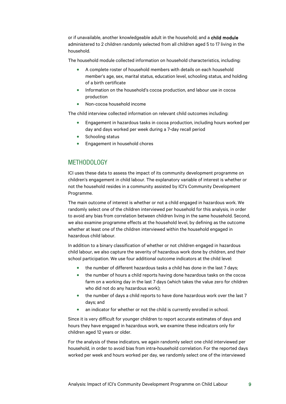or if unavailable, another knowledgeable adult in the household; and a child module administered to 2 children randomly selected from all children aged 5 to 17 living in the household.

The household module collected information on household characteristics, including:

- A complete roster of household members with details on each household member's age, sex, marital status, education level, schooling status, and holding of a birth certificate
- Information on the household's cocoa production, and labour use in cocoa production
- Non-cocoa household income

The child interview collected information on relevant child outcomes including:

- Engagement in hazardous tasks in cocoa production, including hours worked per day and days worked per week during a 7-day recall period
- Schooling status
- <span id="page-9-0"></span>• Engagement in household chores

## METHODOLOGY

ICI uses these data to assess the impact of its community development programme on children's engagement in child labour. The explanatory variable of interest is whether or not the household resides in a community assisted by ICI's Community Development Programme.

The main outcome of interest is whether or not a child engaged in hazardous work. We randomly select one of the children interviewed per household for this analysis, in order to avoid any bias from correlation between children living in the same household. Second, we also examine programme effects at the household level, by defining as the outcome whether at least one of the children interviewed within the household engaged in hazardous child labour.

In addition to a binary classification of whether or not children engaged in hazardous child labour, we also capture the severity of hazardous work done by children, and their school participation. We use four additional outcome indicators at the child level:

- the number of different hazardous tasks a child has done in the last 7 days;
- the number of hours a child reports having done hazardous tasks on the cocoa farm on a working day in the last 7 days (which takes the value zero for children who did not do any hazardous work);
- the number of days a child reports to have done hazardous work over the last 7 days; and
- an indicator for whether or not the child is currently enrolled in school.

Since it is very difficult for younger children to report accurate estimates of days and hours they have engaged in hazardous work, we examine these indicators only for children aged 12 years or older.

For the analysis of these indicators, we again randomly select one child interviewed per household, in order to avoid bias from intra-household correlation. For the reported days worked per week and hours worked per day, we randomly select one of the interviewed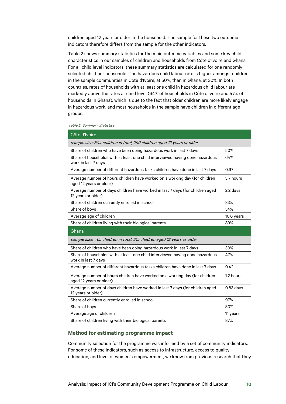children aged 12 years or older in the household. The sample for these two outcome indicators therefore differs from the sample for the other indicators.

[Table 2](#page-10-0) shows summary statistics for the main outcome variables and some key child characteristics in our samples of children and households from Côte d'Ivoire and Ghana. For all child level indicators, these summary statistics are calculated for one randomly selected child per household. The hazardous child labour rate is higher amongst children in the sample communities in Côte d'Ivoire, at 50%, than in Ghana, at 30%. In both countries, rates of households with at least one child in hazardous child labour are markedly above the rates at child level (64% of households in Côte d'Ivoire and 47% of households in Ghana), which is due to the fact that older children are more likely engage in hazardous work, and most households in the sample have children in different age groups.

#### <span id="page-10-0"></span>Table 2: Summary Statistics

| Côte d'Ivoire                                                                                          |             |
|--------------------------------------------------------------------------------------------------------|-------------|
| sample size: 504 children in total, 299 children aged 12 years or older                                |             |
| Share of children who have been doing hazardous work in last 7 days                                    | 50%         |
| Share of households with at least one child interviewed having done hazardous<br>work in last 7 days   | 64%         |
| Average number of different hazardous tasks children have done in last 7 days                          | 0.97        |
| Average number of hours children have worked on a working day (for children<br>aged 12 years or older) | 3.7 hours   |
| Average number of days children have worked in last 7 days (for children aged<br>12 years or older)    | $2.2$ days  |
| Share of children currently enrolled in school                                                         | 83%         |
| Share of boys                                                                                          | 54%         |
| Average age of children                                                                                | 10.6 years  |
| Share of children living with their biological parents                                                 | 89%         |
|                                                                                                        |             |
| Ghana                                                                                                  |             |
| sample size: 465 children in total, 315 children aged 12 years or older                                |             |
| Share of children who have been doing hazardous work in last 7 days                                    | 30%         |
| Share of households with at least one child interviewed having done hazardous<br>work in last 7 days   | 47%         |
| Average number of different hazardous tasks children have done in last 7 days                          | 0.42        |
| Average number of hours children have worked on a working day (for children<br>aged 12 years or older) | 1.2 hours   |
| Average number of days children have worked in last 7 days (for children aged<br>12 years or older)    | $0.83$ days |
| Share of children currently enrolled in school                                                         | 97%         |
| Share of boys                                                                                          | 50%         |
| Average age of children                                                                                | 11 years    |

#### **Method for estimating programme impact**

Community selection for the programme was informed by a set of community indicators. For some of these indicators, such as access to infrastructure, access to quality education, and level of women's empowerment, we know from previous research that they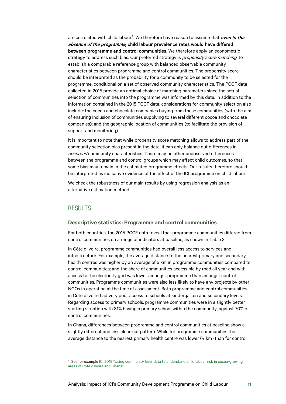are correlated with child labour<sup>[4](#page-11-1)</sup>. We therefore have reason to assume that even in the absence of the programme, child labour prevalence rates would have differed between programme and control communities. We therefore apply an econometric strategy to address such bias. Our preferred strategy is *propensity score matching*, to establish a comparable reference group with balanced observable community characteristics between programme and control communities. The propensity score should be interpreted as the probability for a community to be selected for the programme, conditional on a set of observed community characteristics. The PCCF data collected in 2015 provide an optimal choice of matching parameters since the actual selection of communities into the programme was informed by this data. In addition to the information contained in the 2015 PCCF data, considerations for community selection also include: the cocoa and chocolate companies buying from these communities (with the aim of ensuring inclusion of communities supplying to several different cocoa and chocolate companies); and the geographic location of communities (to facilitate the provision of support and monitoring).

It is important to note that while propensity score matching allows to address part of the community selection bias present in the data, it can only balance out differences in observed community characteristics. There may be other unobserved differences between the programme and control groups which may affect child outcomes, so that some bias may remain in the estimated programme effects. Our results therefore should be interpreted as indicative evidence of the effect of the ICI programme on child labour.

We check the robustness of our main results by using regression analysis as an alternative estimation method.

## <span id="page-11-0"></span>**RESULTS**

#### **Descriptive statistics: Programme and control communities**

For both countries, the 2015 PCCF data reveal that programme communities differed from control communities on a range of indicators at baseline, as shown in Table 3.

In Côte d'Ivoire, programme communities had overall less access to services and infrastructure. For example, the average distance to the nearest primary and secondary health centres was higher by an average of 5 km in programme communities compared to control communities; and the share of communities accessible by road all year and with access to the electricity grid was lower amongst programme than amongst control communities. Programme communities were also less likely to have any projects by other NGOs in operation at the time of assessment. Both programme and control communities in Côte d'Ivoire had very poor access to schools at kindergarten and secondary levels. Regarding access to primary schools, programme communities were in a slightly better starting situation with 81% having a primary school within the community, against 70% of control communities.

In Ghana, differences between programme and control communities at baseline show a slightly different and less clear-cut pattern. While for programme communities the average distance to the nearest primary health centre was lower (4 km) than for control

<span id="page-11-1"></span><sup>4</sup> See for exampl[e ICI 2019 "Using community level data to understand child labour risk in cocoa-growing](https://cocoainitiative.org/wp-content/uploads/2019/10/Using-community-level-data-to-understand-child-labour-risk_summary_Oct-2019_EN.pdf)  [areas of Côte d'Ivoire and Ghana"](https://cocoainitiative.org/wp-content/uploads/2019/10/Using-community-level-data-to-understand-child-labour-risk_summary_Oct-2019_EN.pdf)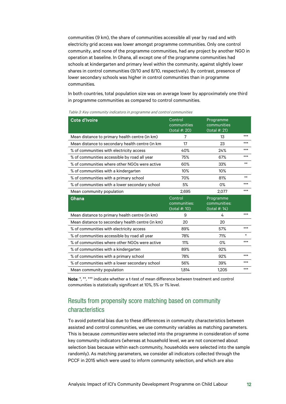communities (9 km), the share of communities accessible all year by road and with electricity grid access was lower amongst programme communities. Only one control community, and none of the programme communities, had any project by another NGO in operation at baseline. In Ghana, all except one of the programme communities had schools at kindergarten and primary level within the community, against slightly lower shares in control communities (9/10 and 8/10, respectively). By contrast, presence of lower secondary schools was higher in control communities than in programme communities.

In both countries, total population size was on average lower by approximately one third in programme communities as compared to control communities.

| Cote d'Ivoire                                    | Control<br>communities<br>(total #: 20)  | Programme<br>communities<br>(total #: 21)  |        |
|--------------------------------------------------|------------------------------------------|--------------------------------------------|--------|
| Mean distance to primary health centre (in km)   | 7                                        | 13                                         | $***$  |
| Mean distance to secondary health centre (in km  | 17                                       | 23                                         | $***$  |
| % of communities with electricity access         | 40%                                      | 24%                                        | $***$  |
| % of communities accessible by road all year     | 75%                                      | 67%                                        | $***$  |
| % of communities where other NGOs were active    | 60%                                      | 33%                                        | $***$  |
| % of communities with a kindergarten             | 10%                                      | 10%                                        |        |
| % of communities with a primary school           | 70%                                      | 81%                                        | $**$   |
| % of communities with a lower secondary school   | 5%                                       | 0%                                         | ***    |
| Mean community population                        | 2.695                                    | 2,077                                      | $***$  |
|                                                  |                                          |                                            |        |
| Ghana                                            | Control<br>communities:<br>(total #: 10) | Programme<br>communities:<br>(total #: 14) |        |
| Mean distance to primary health centre (in km)   | 9                                        | 4                                          | ***    |
| Mean distance to secondary health centre (in km) | 20                                       | 20                                         |        |
| % of communities with electricity access         | 89%                                      | 57%                                        | $***$  |
| % of communities accessible by road all year     | 78%                                      | 71%                                        | $\ast$ |
| % of communities where other NGOs were active    | 11%                                      | 0%                                         | $***$  |
| % of communities with a kindergarten             | 89%                                      | 92%                                        |        |
| % of communities with a primary school           | 78%                                      | 92%                                        | $***$  |
| % of communities with a lower secondary school   | 56%                                      | 39%                                        | $***$  |

<span id="page-12-1"></span>Table 3: Key community indicators in programme and control communities

Note: \*, \*\*, \*\*\* indicate whether a t-test of mean difference between treatment and control communities is statistically significant at 10%, 5% or 1% level.

# <span id="page-12-0"></span>Results from propensity score matching based on community characteristics

To avoid potential bias due to these differences in community characteristics between assisted and control communities, we use community variables as matching parameters. This is because *communities* were selected into the programme in consideration of some key community indicators (whereas at household level, we are not concerned about selection bias because within each community, households were selected into the sample randomly). As matching parameters, we consider all indicators collected through the PCCF in 2015 which were used to inform community selection, and which are also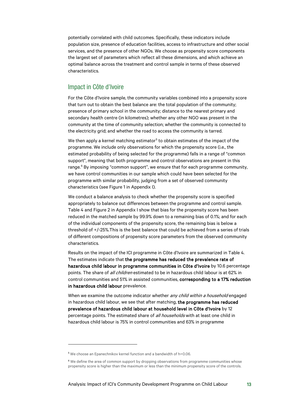potentially correlated with child outcomes. Specifically, these indicators include population size, presence of education facilities, access to infrastructure and other social services, and the presence of other NGOs. We choose as propensity score components the largest set of parameters which reflect all these dimensions, and which achieve an optimal balance across the treatment and control sample in terms of these observed characteristics.

## <span id="page-13-0"></span>Impact in Côte d'Ivoire

For the Côte d'Ivoire sample, the community variables combined into a propensity score that turn out to obtain the best balance are: the total population of the community; presence of primary school in the community; distance to the nearest primary and secondary health centre (in kilometres); whether any other NGO was present in the community at the time of community selection; whether the community is connected to the electricity grid; and whether the road to access the community is tarred.

We then apply a kernel matching estimator<sup>5</sup> to obtain estimates of the impact of the programme. We include only observations for which the propensity score (i.e., the estimated probability of being selected for the programme) falls in a range of "common support", meaning that both programme and control observations are present in this range.<sup>[6](#page-13-2)</sup> By imposing "common support", we ensure that for each programme community, we have control communities in our sample which could have been selected for the programme with similar probability, judging from a set of observed community characteristics (se[e Figure 1](#page-18-2) in Appendix I).

We conduct a balance analysis to check whether the propensity score is specified appropriately to balance out differences between the programme and control sample. [Table 4](#page-19-0) an[d Figure 2](#page-20-0) in Appendix I show that bias for the propensity score has been reduced in the matched sample by 99.9% down to a remaining bias of 0.1%; and for each of the individual components of the propensity score, the remaining bias is below a threshold of +/-25%.This is the best balance that could be achieved from a series of trials of different compositions of propensity score parameters from the observed community characteristics.

Results on the impact of the ICI programme in Côte d'Ivoire are summarized in Table 4. The estimates indicate that the programme has reduced the prevalence rate of hazardous child labour in programme communities in Côte d'Ivoire by 10.6 percentage points. The share of *all children* estimated to be in hazardous child labour is at 62% in control communities and 51% in assisted communities, corresponding to a 17% reduction in hazardous child labour prevalence.

When we examine the outcome indicator whether any child within a household engaged in hazardous child labour, we see that after matching, the programme has reduced prevalence of hazardous child labour at household level in Côte d'Ivoire by 12 percentage points. The estimated share of *all households* with at least one child in hazardous child labour is 75% in control communities and 63% in programme

<span id="page-13-1"></span><sup>5</sup> We choose an Epanechnikov kernel function and a bandwidth of h=0.06.

<span id="page-13-2"></span><sup>&</sup>lt;sup>6</sup> We define the area of common support by dropping observations from programme communities whose propensity score is higher than the maximum or less than the minimum propensity score of the controls.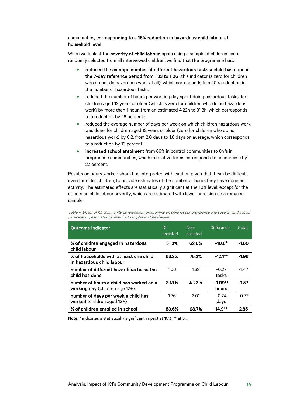### communities, corresponding to a 16% reduction in hazardous child labour at household level.

When we look at the severity of child labour, again using a sample of children each randomly selected from all interviewed children, we find that the programme has...

- reduced the average number of different hazardous tasks a child has done in the 7-day reference period from 1.33 to 1.06 (this indicator is zero for children who do not do hazardous work at all), which corresponds to a 20% reduction in the number of hazardous tasks;
- reduced the number of hours per working day spent doing hazardous tasks, for children aged 12 years or older (which is zero for children who do no hazardous work) by more than 1 hour, from an estimated 4'22h to 3'13h, which corresponds to a reduction by 26 percent ;
- reduced the average number of days per week on which children hazardous work was done, for children aged 12 years or older (zero for children who do no hazardous work) by 0.2, from 2.0 days to 1.8 days on average, which corresponds to a reduction by 12 percent ;
- increased school enrolment from 69% in control communities to 84% in programme communities, which in relative terms corresponds to an increase by 22 percent.

Results on hours worked should be interpreted with caution given that it can be difficult, even for older children, to provide estimates of the number of hours they have done an activity. The estimated effects are statistically significant at the 10% level, except for the effects on child labour severity, which are estimated with lower precision on a reduced sample.

<span id="page-14-0"></span>Table 4: Effect of ICI community development programme on child labour prevalence and severity and school participation; estimates for matched samples in Côte d'Ivoire.

| <b>Outcome indicator</b>                                                  | ICI<br>assisted | $Non-$<br>assisted | <b>Difference</b>  | t-stat  |
|---------------------------------------------------------------------------|-----------------|--------------------|--------------------|---------|
| % of children engaged in hazardous<br>child labour                        | 51.3%           | 62.0%              | $-10.6*$           | $-1.60$ |
| % of households with at least one child<br>in hazardous child labour      | 63.2%           | 75.2%              | $-12.1***$         | $-1.96$ |
| number of different hazardous tasks the<br>child has done                 | 1.06            | 1.33               | $-0.27$<br>tasks   | $-1.47$ |
| number of hours a child has worked on a<br>working day (children age 12+) | 3.13h           | 4.22 h             | $-1.09**$<br>hours | -1.57   |
| number of days per week a child has<br>worked (children aged 12+)         | 1.76            | 2.01               | $-0.24$<br>days    | $-0.72$ |
| % of children enrolled in school                                          | 83.6%           | 68.7%              | $14.9***$          | 2.85    |

Note: \* indicates a statistically significant impact at 10%, \*\* at 5%.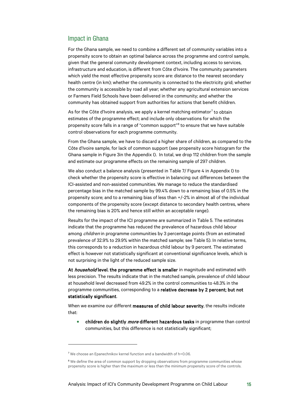### <span id="page-15-0"></span>Impact in Ghana

For the Ghana sample, we need to combine a different set of community variables into a propensity score to obtain an optimal balance across the programme and control sample, given that the general community development context, including access to services, infrastructure and education, is different from Côte d'Ivoire. The community parameters which yield the most effective propensity score are: distance to the nearest secondary health centre (in km); whether the community is connected to the electricity grid; whether the community is accessible by road all year; whether any agricultural extension services or Farmers Field Schools have been delivered in the community; and whether the community has obtained support from authorities for actions that benefit children.

As for the Côte d'Ivoire analysis, we apply a kernel matching estimator<sup>[7](#page-15-1)</sup> to obtain estimates of the programme effect; and include only observations for which the propensity score falls in a range of "common support"<sup>[8](#page-15-2)</sup> to ensure that we have suitable control observations for each programme community.

From the Ghana sample, we have to discard a higher share of children, as compared to the Côte d'Ivoire sample, for lack of common support (see propensity score histogram for the Ghana sample in [Figure 3i](#page-20-1)n the Appendix I). In total, we drop 112 children from the sample and estimate our programme effects on the remaining sample of 297 children.

We also conduct a balance analysis (presented in [Table 7/](#page-21-1) [Figure 4](#page-21-0) in Appendix I) to check whether the propensity score is effective in balancing out differences between the ICI-assisted and non-assisted communities. We manage to reduce the standardised percentage bias in the matched sample by 99.4% down to a remaining bias of 0.5% in the propensity score; and to a remaining bias of less than +/-2% in almost all of the individual components of the propensity score (except distance to secondary health centres, where the remaining bias is 20% and hence still within an acceptable range).

Results for the impact of the ICI programme are summarized i[n Table 5.](#page-16-0) The estimates indicate that the programme has reduced the prevalence of hazardous child labour among *children* in programme communities by 3 percentage points (from an estimated prevalence of 32.9% to 29.9% within the matched sample; see Table 5). In relative terms, this corresponds to a reduction in hazardous child labour by 9 percent. The estimated effect is however not statistically significant at conventional significance levels, which is not surprising in the light of the reduced sample size.

At *household* level, the programme effect is smaller in magnitude and estimated with less precision. The results indicate that in the matched sample, prevalence of child labour at household level decreased from 49.2% in the control communities to 48.3% in the programme communities, corresponding to a relative decrease by 2 percent; but not statistically significant.

When we examine our different measures of child labour severity, the results indicate that:

• children do slightly *more* different hazardous tasks in programme than control communities, but this difference is not statistically significant;

<span id="page-15-2"></span><span id="page-15-1"></span><sup>7</sup> We choose an Epanechnikov kernel function and a bandwidth of h=0.06.

<sup>&</sup>lt;sup>8</sup> We define the area of common support by dropping observations from programme communities whose propensity score is higher than the maximum or less than the minimum propensity score of the controls.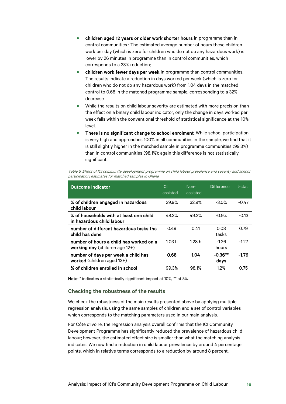- children aged 12 years or older work shorter hours in programme than in control communities : The estimated average number of hours these children work per day (which is zero for children who do not do any hazardous work) is lower by 26 minutes in programme than in control communities, which corresponds to a 23% reduction;
- children work fewer days per week in programme than control communities. The results indicate a reduction in days worked per week (which is zero for children who do not do any hazardous work) from 1.04 days in the matched control to 0.68 in the matched programme sample, corresponding to a 32% decrease.
- While the results on child labour severity are estimated with more precision than the effect on a binary child labour indicator, only the change in days worked per week falls within the conventional threshold of statistical significance at the 10% level.
- There is no significant change to school enrolment. While school participation is very high and approaches 100% in all communities in the sample, we find that it is still slightly higher in the matched sample in programme communities (99.3%) than in control communities (98.1%); again this difference is not statistically significant.

<span id="page-16-0"></span>

| Table 5: Effect of ICI community development programme on child labour prevalence and severity and school |
|-----------------------------------------------------------------------------------------------------------|
| participation; estimates for matched samples in Ghana                                                     |

| <b>Outcome indicator</b>                                                     | ICI<br>assisted | Non-<br>assisted | <b>Difference</b> | t-stat  |
|------------------------------------------------------------------------------|-----------------|------------------|-------------------|---------|
| % of children engaged in hazardous<br>child labour                           | 29.9%           | 32.9%            | $-3.0\%$          | $-0.47$ |
| % of households with at least one child<br>in hazardous child labour         | 48.3%           | 49.2%            | $-0.9\%$          | $-0.13$ |
| number of different hazardous tasks the<br>child has done                    | 0.49            | 0.41             | 0.08<br>tasks     | 0.79    |
| number of hours a child has worked on a<br>working day (children age $12+$ ) | 1.03 h          | 1.28 h           | $-1.26$<br>hours  | $-1.27$ |
| number of days per week a child has<br>worked (children aged 12+)            | 0.68            | 1.04             | $-0.36**$<br>days | $-1.76$ |
| % of children enrolled in school                                             | 99.3%           | 98.1%            | 1.2%              | 0.75    |

Note: \* indicates a statistically significant impact at 10%, \*\* at 5%.

#### **Checking the robustness of the results**

We check the robustness of the main results presented above by applying multiple regression analysis, using the same samples of children and a set of control variables which corresponds to the matching parameters used in our main analysis.

For Côte d'Ivoire, the regression analysis overall confirms that the ICI Community Development Programme has significantly reduced the prevalence of hazardous child labour; however, the estimated effect size is smaller than what the matching analysis indicates. We now find a reduction in child labour prevalence by around 4 percentage points, which in relative terms corresponds to a reduction by around 8 percent.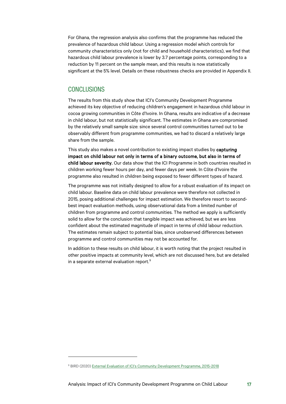For Ghana, the regression analysis also confirms that the programme has reduced the prevalence of hazardous child labour. Using a regression model which controls for community characteristics only (not for child and household characteristics), we find that hazardous child labour prevalence is lower by 3.7 percentage points, corresponding to a reduction by 11 percent on the sample mean, and this results is now statistically significant at the 5% level. Details on these robustness checks are provided in Appendix II.

### <span id="page-17-0"></span>**CONCLUSIONS**

The results from this study show that ICI's Community Development Programme achieved its key objective of reducing children's engagement in hazardous child labour in cocoa growing communities in Côte d'Ivoire. In Ghana, results are indicative of a decrease in child labour, but not statistically significant. The estimates in Ghana are compromised by the relatively small sample size: since several control communities turned out to be observably different from programme communities, we had to discard a relatively large share from the sample.

This study also makes a novel contribution to existing impact studies by capturing impact on child labour not only in terms of a binary outcome, but also in terms of child labour severity. Our data show that the ICI Programme in both countries resulted in children working fewer hours per day, and fewer days per week. In Côte d'Ivoire the programme also resulted in children being exposed to fewer different types of hazard.

The programme was not initially designed to allow for a robust evaluation of its impact on child labour. Baseline data on child labour prevalence were therefore not collected in 2015, posing additional challenges for impact estimation. We therefore resort to secondbest impact evaluation methods, using observational data from a limited number of children from programme and control communities. The method we apply is sufficiently solid to allow for the conclusion that tangible impact was achieved, but we are less confident about the estimated magnitude of impact in terms of child labour reduction. The estimates remain subject to potential bias, since unobserved differences between programme and control communities may not be accounted for.

In addition to these results on child labour, it is worth noting that the project resulted in other positive impacts at community level, which are not discussed here, but are detailed in a separate external evaluation report.[9](#page-17-1)

<span id="page-17-1"></span><sup>9</sup> BIRD (2020) [External Evaluation of ICI's Community Development Programme, 2015-2018](https://cocoainitiative.org/wp-content/uploads/2020/05/ICI_External-evaluation-of-community-development-programme_report_EN.pdf)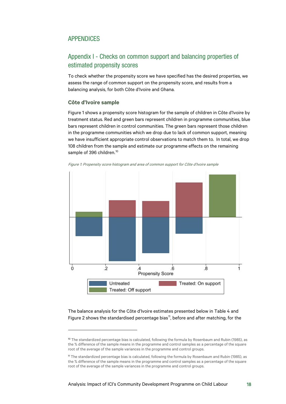# <span id="page-18-0"></span>APPENDICES

# <span id="page-18-1"></span>Appendix I - Checks on common support and balancing properties of estimated propensity scores

To check whether the propensity score we have specified has the desired properties, we assess the range of common support on the propensity score, and results from a balancing analysis, for both Côte d'Ivoire and Ghana.

### **Côte d'Ivoire sample**

[Figure 1](#page-18-2) shows a propensity score histogram for the sample of children in Côte d'Ivoire by treatment status. Red and green bars represent children in programme communities, blue bars represent children in control communities. The green bars represent those children in the programme communities which we drop due to lack of common support, meaning we have insufficient appropriate control observations to match them to. In total, we drop 108 children from the sample and estimate our programme effects on the remaining sample of 396 children.<sup>[10](#page-18-3)</sup>



<span id="page-18-2"></span>Figure 1: Propensity score histogram and area of common support for Côte d'Ivoire sample

The balance analysis for the Côte d'Ivoire estimates presented below in [Table 4](#page-19-0) and [Figure 2](#page-20-0) shows the standardised percentage bias<sup>11</sup>, before and after matching, for the

<span id="page-18-3"></span><sup>&</sup>lt;sup>10</sup> The standardized percentage bias is calculated, following the formula by Rosenbaum and Rubin (1985), as the % difference of the sample means in the programme and control samples as a percentage of the square root of the average of the sample variances in the programme and control groups.

<span id="page-18-4"></span><sup>11</sup> The standardized percentage bias is calculated, following the formula by Rosenbaum and Rubin (1985), as the % difference of the sample means in the programme and control samples as a percentage of the square root of the average of the sample variances in the programme and control groups.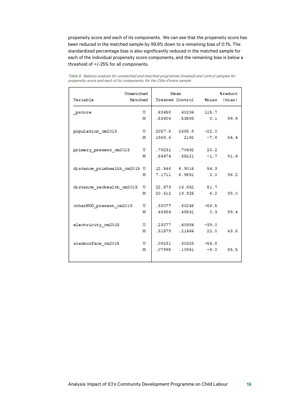propensity score and each of its components. We can see that the propensity score has been reduced in the matched sample by 99.9% down to a remaining bias of 0.1%. The standardized percentage bias is also significantly reduced in the matched sample for each of the individual propensity score components, and the remaining bias is below a threshold of +/-25% for all components.

| Unmatched                    |        | Mean                |                                           | <i><b>&amp;reduct</b></i> |
|------------------------------|--------|---------------------|-------------------------------------------|---------------------------|
| Variable<br>Matched          |        |                     | Treated Control %bias   bias              |                           |
| pscore                       | U      | .63658.40234        | 115.7                                     |                           |
|                              | м      |                     | .53606 .53593 0.1                         | 99.9                      |
| population cm2015            | U      | 2057.8 2685.8       | $-22.0$                                   |                           |
|                              | м      | 1968.6 2192         | $-7.8$                                    | 64.4                      |
| primary present cm2015       | U      | .79231 .70492 20.2  |                                           |                           |
|                              | м      |                     | .64474 .65221 -1.7                        | 91.4                      |
| distance primhealth cm2015 U |        |                     | 12.546 6.9016 54.3                        |                           |
|                              | м      |                     | 7.1711 6.9591 2.0                         | 96.2                      |
| distance sechealth cm2015    | U      | 22.573 16.852 51.7  |                                           |                           |
|                              | м      |                     | 20.612 19.925 6.2                         | 88.0                      |
| otherNGO present cm2015      | U      |                     | .33077 .60246 -56.5                       |                           |
|                              | м      | .48684.48531        | 0.3                                       | 99.4                      |
|                              | U      | .23077 .40984 -39.0 |                                           |                           |
| electricity cm2015           | м      | .31579 .21464 22.0  |                                           | 43.5                      |
|                              |        |                     |                                           |                           |
| roadsurface cm2015           | U<br>M |                     | .09231 .30328 -54.8<br>-07895 .10961 -8.0 | 85.5                      |
|                              |        |                     |                                           |                           |

<span id="page-19-0"></span>Table 6: Balance analysis for unmatched and matched programme (treated) and control samples for propensity score and each of its components, for the Côte d'Ivoire sample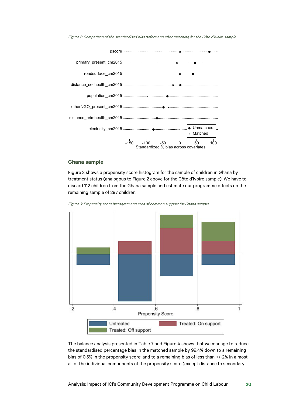

<span id="page-20-0"></span>Figure 2: Comparison of the standardised bias before and after matching for the Côte d'Ivoire sample.

### **Ghana sample**

[Figure 3](#page-20-1) shows a propensity score histogram for the sample of children in Ghana by treatment status (analogous to Figure 2 above for the Côte d'Ivoire sample). We have to discard 112 children from the Ghana sample and estimate our programme effects on the remaining sample of 297 children.

<span id="page-20-1"></span>Figure 3: Propensity score histogram and area of common support for Ghana sample.



The balance analysis presented in [Table 7](#page-21-1) and [Figure 4](#page-21-0) shows that we manage to reduce the standardised percentage bias in the matched sample by 99.4% down to a remaining bias of 0.5% in the propensity score; and to a remaining bias of less than +/-2% in almost all of the individual components of the propensity score (except distance to secondary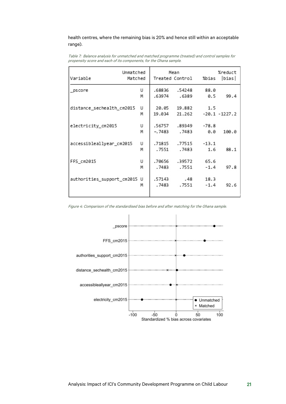### health centres, where the remaining bias is 20% and hence still within an acceptable range).

<span id="page-21-1"></span>Table 7: Balance analysis for unmatched and matched programme (treated) and control samples for propensity score and each of its components, for the Ghana sample.

| Variable                     | Unmatched<br>Matched |         | Mean<br>Treated Control | %bias      | %reduct<br> bias |
|------------------------------|----------------------|---------|-------------------------|------------|------------------|
| pscore                       | U                    | .68836  | .54248                  | 88.0       |                  |
|                              | м                    |         | .63974.6389             | 0.5        | 99.4             |
| distance sechealth cm2015    | U                    |         | 20.05 19.882            | 1.5        |                  |
|                              | м                    |         | 19.034 21.262           |            | -20.1 -1227.2    |
| electricity_cm2015           | U                    |         | .56757.89349            | $-78.8$    |                  |
|                              | м                    | -. 7483 | .7483                   | 0.0        | 100.0            |
| accessibleallyear_cm2015     | U                    |         | .71815 .77515           | $-13.1$    |                  |
|                              | м                    | . 7551  | .7483                   | 1.6        | 88.1             |
| FFS_cm2015                   | U                    |         | .70656.39572            | 65.6       |                  |
|                              | м                    | . 7483  | . 7551                  | $-1.4$     | 97.8             |
| authorities_support_cm2015 U |                      | .57143  |                         | .48 18.3   |                  |
|                              | м                    | . 7483  |                         | .7551 -1.4 | 92.6             |
|                              |                      |         |                         |            |                  |

<span id="page-21-0"></span>Figure 4: Comparison of the standardised bias before and after matching for the Ghana sample.